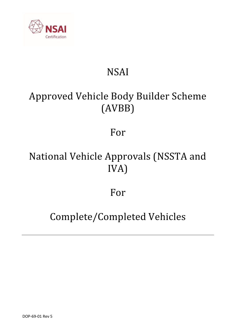

# NSAI

# Approved Vehicle Body Builder Scheme (AVBB)

# For

# National Vehicle Approvals (NSSTA and IVA)

# For

# Complete/Completed Vehicles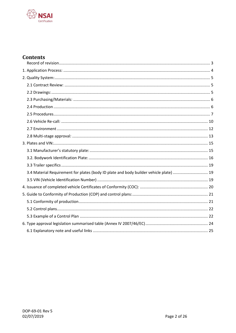

## **Contents**

| 3.4 Material Requirement for plates (body ID plate and body builder vehicle plate)  19 |  |
|----------------------------------------------------------------------------------------|--|
|                                                                                        |  |
|                                                                                        |  |
|                                                                                        |  |
|                                                                                        |  |
|                                                                                        |  |
|                                                                                        |  |
|                                                                                        |  |
|                                                                                        |  |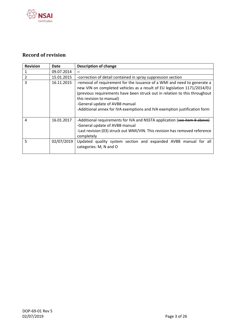

## <span id="page-2-0"></span>**Record of revision**

| <b>Revision</b> | Date       | <b>Description of change</b>                                                                                                                                                                                                                                                                                                                                                  |
|-----------------|------------|-------------------------------------------------------------------------------------------------------------------------------------------------------------------------------------------------------------------------------------------------------------------------------------------------------------------------------------------------------------------------------|
|                 | 09.07.2014 |                                                                                                                                                                                                                                                                                                                                                                               |
| 2               | 15.01.2015 | -correction of detail contained in spray suppression section                                                                                                                                                                                                                                                                                                                  |
| 3               | 16.11.2015 | -removal of requirement for the issuance of a WMI and need to generate a<br>new VIN on completed vehicles as a result of EU legislation 1171/2014/EU<br>(previous requirements have been struck out in relation to this throughout<br>this revision to manual)<br>-General update of AVBB manual<br>-Additional annex for IVA exemptions and IVA exemption justification form |
| 4               | 16.01.2017 | -Additional requirements for IVA and NSSTA application (see item 9 above)<br>-General update of AVBB manual<br>-Last revision (03) struck out WMI/VIN. This revision has removed reference<br>completely                                                                                                                                                                      |
| 5               | 02/07/2019 | Updated quality system section and expanded AVBB manual for all<br>categories: M, N and O                                                                                                                                                                                                                                                                                     |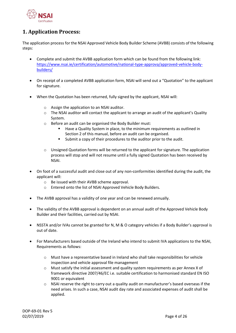

## <span id="page-3-0"></span>**1. Application Process:**

The application process for the NSAI Approved Vehicle Body Builder Scheme (AVBB) consists of the following steps:

- Complete and submit the AVBB application form which can be found from the following link: [https://www.nsai.ie/certification/automotive/national-type-approva/approved-vehicle-body](https://www.nsai.ie/certification/automotive/national-type-approva/approved-vehicle-body-builders/)[builders/](https://www.nsai.ie/certification/automotive/national-type-approva/approved-vehicle-body-builders/)
- On receipt of a completed AVBB application form, NSAI will send out a "Quotation" to the applicant for signature.
- When the Quotation has been returned, fully signed by the applicant, NSAI will:
	- o Assign the application to an NSAI auditor.
	- $\circ$  The NSAI auditor will contact the applicant to arrange an audit of the applicant's Quality System.
	- o Before an audit can be organised the Body Builder must:
		- Have a Quality System in place, to the minimum requirements as outlined in Section 2 of this manual, before an audit can be organised.
		- Submit a copy of their procedures to the auditor prior to the audit.
	- $\circ$  Unsigned Quotation forms will be returned to the applicant for signature. The application process will stop and will not resume until a fully signed Quotation has been received by NSAI.
- On foot of a successful audit and close out of any non-conformities identified during the audit, the applicant will:
	- o Be issued with their AVBB scheme approval.
	- o Entered onto the list of NSAI Approved Vehicle Body Builders.
- The AVBB approval has a validity of one year and can be renewed annually.
- The validity of the AVBB approval is dependent on an annual audit of the Approved Vehicle Body Builder and their facilities, carried out by NSAI.
- NSSTA and/or IVAs cannot be granted for N, M & O category vehicles if a Body Builder's approval is out of date.
- For Manufacturers based outside of the Ireland who intend to submit IVA applications to the NSAI, Requirements as follows:
	- o Must have a representative based in Ireland who shall take responsibilities for vehicle inspection and vehicle approval file management
	- $\circ$  Must satisfy the initial assessment and quality system requirements as per Annex X of framework directive 2007/46/EC i.e. suitable certification to harmonised standard EN ISO 9001 or equivalent
	- $\circ$  NSAI reserve the right to carry out a quality audit on manufacturer's based overseas if the need arises. In such a case, NSAI audit day rate and associated expenses of audit shall be applied.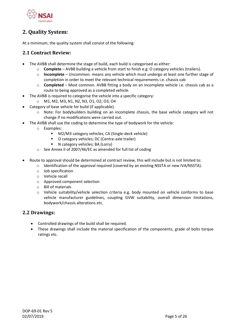

## <span id="page-4-0"></span>**2. Quality System:**

At a minimum, the quality system shall consist of the following:

## <span id="page-4-1"></span>**2.1 Contract Review:**

- The AVBB shall determine the stage of build, each build is categorised as either:
	- o **Complete** AVBB building a vehicle from start to finish e.g. O category vehicles (trailers).
	- o **Incomplete** Uncommon. means any vehicle which must undergo at least one further stage of completion in order to meet the relevant technical requirements i.e. chassis cab
	- o **Completed** Most common. AVBB fitting a body on an incomplete vehicle i.e. chassis cab as a route to being approved as a completed vehicle.
	- The AVBB is required to categorise the vehicle into a specific category:
	- o M1, M2, M3, N1, N2, N3, O1, O2, O3, O4
- Category of base vehicle for build (if applicable).
	- o Note: For bodybuilders building on an incomplete chassis, the base vehicle category will not change if no modifications were carried out.
- The AVBB shall use the coding to determine the type of bodywork for the vehicle:
	- o Examples:
		- M2/M3 category vehicles; CA (Single-deck vehicle)
		- O category vehicles; DC (Centre-axle trailer)
		- N category vehicles; BA (Lorry)
	- o See Annex II of 2007/46/EC as amended for full list of coding
- Route to approval should be determined at contract review, this will include but is not limited to:
	- o Identification of the approval required (covered by an existing NSSTA or new IVA/NSSTA).
	- o Job specification
	- o Vehicle recall
	- o Approved component selection
	- o Bill of materials
	- o Vehicle suitability/vehicle selection criteria e.g. body mounted on vehicle conforms to base vehicle manufacturer guidelines, coupling GVW suitability, overall dimension limitations, bodywork/chassis alterations etc.

## <span id="page-4-2"></span>**2.2 Drawings:**

- Controlled drawings of the build shall be required.
- These drawings shall include the material specification of the components, grade of bolts torque ratings etc.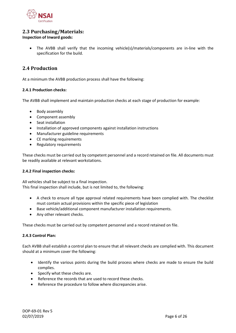

## <span id="page-5-0"></span>**2.3 Purchasing/Materials:**

## **Inspection of Inward goods:**

• The AVBB shall verify that the incoming vehicle(s)/materials/components are in-line with the specification for the build.

## <span id="page-5-1"></span>**2.4 Production**

At a minimum the AVBB production process shall have the following:

#### **2.4.1 Production checks:**

The AVBB shall implement and maintain production checks at each stage of production for example:

- Body assembly
- Component assembly
- Seat installation
- Installation of approved components against installation instructions
- Manufacturer guideline requirements
- CE marking requirements
- Regulatory requirements

These checks must be carried out by competent personnel and a record retained on file. All documents must be readily available at relevant workstations.

#### **2.4.2 Final inspection checks:**

All vehicles shall be subject to a final inspection. This final inspection shall include, but is not limited to, the following:

- A check to ensure all type approval related requirements have been complied with. The checklist must contain actual provisions within the specific piece of legislation
- Base vehicle/additional component manufacturer installation requirements.
- Any other relevant checks.

These checks must be carried out by competent personnel and a record retained on file.

#### **2.4.3 Control Plan:**

Each AVBB shall establish a control plan to ensure that all relevant checks are complied with. This document should at a minimum cover the following:

- Identify the various points during the build process where checks are made to ensure the build complies.
- Specify what these checks are.
- Reference the records that are used to record these checks.
- Reference the procedure to follow where discrepancies arise.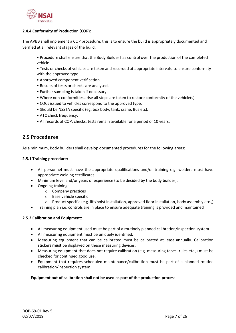

## **2.4.4 Conformity of Production (COP):**

The AVBB shall implement a COP procedure, this is to ensure the build is appropriately documented and verified at all relevant stages of the build.

- Procedure shall ensure that the Body Builder has control over the production of the completed vehicle.
- Tests or checks of vehicles are taken and recorded at appropriate intervals, to ensure conformity with the approved type.
- Approved component verification.
- Results of tests or checks are analysed.
- Further sampling is taken if necessary.
- Where non-conformities arise all steps are taken to restore conformity of the vehicle(s).
- COCs issued to vehicles correspond to the approved type.
- Should be NSSTA specific (eg. box body, tank, crane, Bus etc).
- ATC check frequency.
- All records of COP, checks, tests remain available for a period of 10 years.

## <span id="page-6-0"></span>**2.5 Procedures**

As a minimum, Body builders shall develop documented procedures for the following areas:

#### **2.5.1 Training procedure:**

- All personnel must have the appropriate qualifications and/or training e.g. welders must have appropriate welding certificates.
- Minimum level and/or years of experience (to be decided by the body builder).
- Ongoing training:
	- o Company practices
	- o Base vehicle specific
	- $\circ$  Product specific (e.g. lift/hoist installation, approved floor installation, body assembly etc.,)
- Training plan i.e. controls are in place to ensure adequate training is provided and maintained

## **2.5.2 Calibration and Equipment:**

- All measuring equipment used must be part of a routinely planned calibration/inspection system.
- All measuring equipment must be uniquely identified.
- Measuring equipment that can be calibrated must be calibrated at least annually. Calibration stickers **must** be displayed on these measuring devices.
- Measuring equipment that does not require calibration (e.g. measuring tapes, rules etc.,) must be checked for continued good use.
- Equipment that requires scheduled maintenance/calibration must be part of a planned routine calibration/inspection system.

## **Equipment out of calibration shall not be used as part of the production process**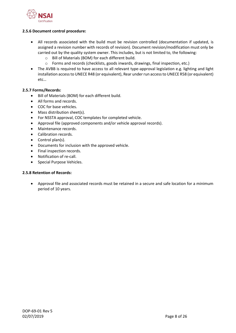

### **2.5.6 Document control procedure:**

- All records associated with the build must be revision controlled (documentation if updated, is assigned a revision number with records of revision). Document revision/modification must only be carried out by the quality system owner. This includes, but is not limited to, the following:
	- o Bill of Materials (BOM) for each different build.
	- o Forms and records (checklists, goods inwards, drawings, final inspection, etc.)
- The AVBB is required to have access to all relevant type-approval legislation e.g. lighting and light installation access to UNECE R48 (or equivalent), Rear under run access to UNECE R58 (or equivalent) etc…

#### **2.5.7 Forms/Records:**

- Bill of Materials (BOM) for each different build.
- All forms and records.
- COC for base vehicles.
- Mass distribution sheet(s).
- For NSSTA approval, COC templates for completed vehicle.
- Approval file (approved components and/or vehicle approval records).
- Maintenance records.
- Calibration records.
- Control plan(s).
- Documents for inclusion with the approved vehicle.
- Final inspection records.
- Notification of re-call.
- Special Purpose Vehicles.

## **2.5.8 Retention of Records:**

• Approval file and associated records must be retained in a secure and safe location for a minimum period of 10 years.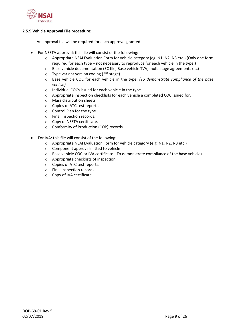

#### **2.5.9 Vehicle Approval File procedure:**

An approval file will be required for each approval granted.

- For NSSTA approval: this file will consist of the following:
	- o Appropriate NSAI Evaluation Form for vehicle category (eg. N1, N2, N3 etc.) (Only one form required for each type – not necessary to reproduce for each vehicle in the type.)
	- $\circ$  Base vehicle documentation (EC file, Base vehicle TVV, multi stage agreements etc)
	- $\circ$  Type variant version coding (2<sup>nd</sup> stage)
	- o Base vehicle COC for each vehicle in the type. *(To demonstrate compliance of the base vehicle)*
	- o Individual COCs issued for each vehicle in the type.
	- o Appropriate inspection checklists for each vehicle a completed COC issued for.
	- o Mass distribution sheets
	- o Copies of ATC test reports.
	- o Control Plan for the type.
	- o Final inspection records.
	- o Copy of NSSTA certificate.
	- o Conformity of Production (COP) records.
- For IVA: this file will consist of the following:
	- o Appropriate NSAI Evaluation Form for vehicle category (e.g. N1, N2, N3 etc.)
	- o Component approvals fitted to vehicle
	- o Base vehicle COC or IVA certificate. (To demonstrate compliance of the base vehicle)
	- o Appropriate checklists of inspection
	- o Copies of ATC test reports.
	- o Final inspection records.
	- o Copy of IVA certificate.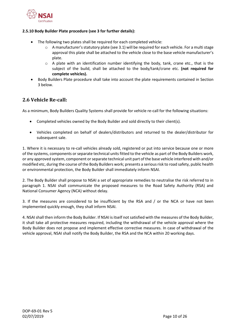

### **2.5.10 Body Builder Plate procedure (see 3 for further details):**

- The following two plates shall be required for each completed vehicle:
	- $\circ$  A manufacturer's statutory plate (see 3.1) will be required for each vehicle. For a multi stage approval this plate shall be attached to the vehicle close to the base vehicle manufacturer's plate.
	- $\circ$  A plate with an identification number identifying the body, tank, crane etc., that is the subject of the build, shall be attached to the body/tank/crane etc. **(not required for complete vehicles).**
- Body Builders Plate procedure shall take into account the plate requirements contained in Section 3 below.

## <span id="page-9-0"></span>**2.6 Vehicle Re-call:**

As a minimum, Body Builders Quality Systems shall provide for vehicle re-call for the following situations:

- Completed vehicles owned by the Body Builder and sold directly to their client(s).
- Vehicles completed on behalf of dealers/distributors and returned to the dealer/distributor for subsequent sale.

1. Where it is necessary to re-call vehicles already sold, registered or put into service because one or more of the systems, components or separate technical units fitted to the vehicle as part of the Body Builders work, or any approved system, component or separate technical unit part of the base vehicle interfered with and/or modified etc, during the course of the Body Builders work; presents a serious risk to road safety, public health or environmental protection, the Body Builder shall immediately inform NSAI.

2. The Body Builder shall propose to NSAI a set of appropriate remedies to neutralise the risk referred to in paragraph 1. NSAI shall communicate the proposed measures to the Road Safety Authority (RSA) and National Consumer Agency (NCA) without delay.

3. If the measures are considered to be insufficient by the RSA and / or the NCA or have not been implemented quickly enough, they shall inform NSAI.

4. NSAIshall then inform the Body Builder. If NSAI is itself not satisfied with the measures of the Body Builder, it shall take all protective measures required, including the withdrawal of the vehicle approval where the Body Builder does not propose and implement effective corrective measures. In case of withdrawal of the vehicle approval, NSAI shall notify the Body Builder, the RSA and the NCA within 20 working days.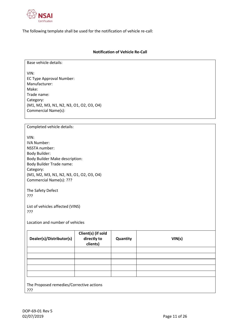

The following template shall be used for the notification of vehicle re-call:

#### **Notification of Vehicle Re-Call**

Base vehicle details:

VIN: EC Type Approval Number: Manufacturer: Make: Trade name: Category: (M1, M2, M3, N1, N2, N3, O1, O2, O3, O4) Commercial Name(s):

Completed vehicle details:

VIN: IVA Number: NSSTA number: Body Builder: Body Builder Make description: Body Builder Trade name: Category: (M1, M2, M3, N1, N2, N3, O1, O2, O3, O4) Commercial Name(s): ???

The Safety Defect ???

List of vehicles affected (VINS) ???

Location and number of vehicles

| Dealer(s)/Distributor(s)                        | Client(s) (if sold<br>directly to<br>clients) | Quantity | VIN(s) |  |  |  |  |  |  |
|-------------------------------------------------|-----------------------------------------------|----------|--------|--|--|--|--|--|--|
|                                                 |                                               |          |        |  |  |  |  |  |  |
|                                                 |                                               |          |        |  |  |  |  |  |  |
|                                                 |                                               |          |        |  |  |  |  |  |  |
|                                                 |                                               |          |        |  |  |  |  |  |  |
|                                                 |                                               |          |        |  |  |  |  |  |  |
| The Proposed remedies/Corrective actions<br>??? |                                               |          |        |  |  |  |  |  |  |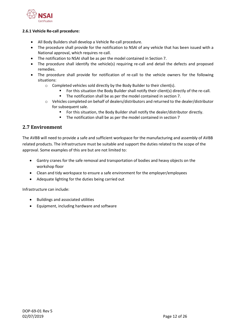

#### **2.6.1 Vehicle Re-call procedure:**

- All Body Builders shall develop a Vehicle Re-call procedure.
- The procedure shall provide for the notification to NSAI of any vehicle that has been issued with a National approval, which requires re-call.
- The notification to NSAI shall be as per the model contained in Section 7.
- The procedure shall identify the vehicle(s) requiring re-call and detail the defects and proposed remedies.
- The procedure shall provide for notification of re-call to the vehicle owners for the following situations:
	- o Completed vehicles sold directly by the Body Builder to their client(s).
		- For this situation the Body Builder shall notify their client(s) directly of the re-call.
		- The notification shall be as per the model contained in section 7.
	- o Vehicles completed on behalf of dealers/distributors and returned to the dealer/distributor for subsequent sale.
		- For this situation, the Body Builder shall notify the dealer/distributor directly.
		- The notification shall be as per the model contained in section 7

## <span id="page-11-0"></span>**2.7 Environment**

The AVBB will need to provide a safe and sufficient workspace for the manufacturing and assembly of AVBB related products. The infrastructure must be suitable and support the duties related to the scope of the approval. Some examples of this are but are not limited to:

- Gantry cranes for the safe removal and transportation of bodies and heavy objects on the workshop floor
- Clean and tidy workspace to ensure a safe environment for the employer/employees
- Adequate lighting for the duties being carried out

Infrastructure can include:

- Buildings and associated utilities
- Equipment, including hardware and software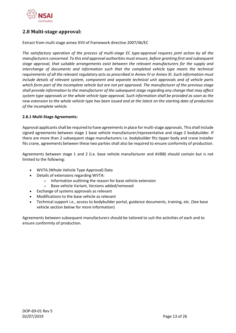

## <span id="page-12-0"></span>**2.8 Multi-stage approval:**

Extract from multi stage annex XVII of framework directive 2007/46/EC

*The satisfactory operation of the process of multi-stage EC type-approval requires joint action by all the manufacturers concerned. To this end approval authorities must ensure, before granting first and subsequent stage approval, that suitable arrangements exist between the relevant manufacturers for the supply and interchange of documents and information such that the completed vehicle type meets the technical requirements of all the relevant regulatory acts as prescribed in Annex IV or Annex XI. Such information must include details of relevant system, component and separate technical unit approvals and of vehicle parts which form part of the incomplete vehicle but are not yet approved. The manufacturer of the previous stage shall provide information to the manufacturer of the subsequent stage regarding any change that may affect system type-approvals or the whole vehicle type-approval. Such information shall be provided as soon as the new extension to the whole vehicle type has been issued and at the latest on the starting date of production of the incomplete vehicle.*

## **2.8.1 Multi-Stage Agreements:**

Approval applicants shall be required to have agreements in place for multi-stage approvals. This shall include signed agreements between stage 1 base vehicle manufacturer/representative and stage 2 bodybuilder. If there are more than 2 subsequent stage manufacturers i.e. bodybuilder fits tipper body and crane installer fits crane, agreements between these two parties shall also be required to ensure conformity of production.

Agreements between stage 1 and 2 (i.e. base vehicle manufacturer and AVBB) should contain but is not limited to the following:

- WVTA (Whole Vehicle Type Approval) Data
- Details of extensions regarding WVTA:
	- o Information outlining the reason for base vehicle extension
	- o Base vehicle Variant, Versions added/removed
- Exchange of systems approvals as relevant
- Modifications to the base vehicle as relevant
- Technical support i.e., access to bodybuilder portal, guidance documents, training, etc. (See base vehicle section below for more information)

Agreements between subsequent manufacturers should be tailored to suit the activities of each and to ensure conformity of production.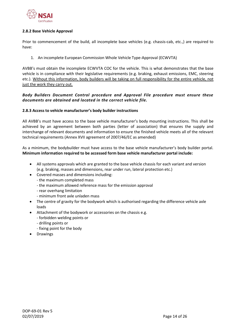

#### **2.8.2 Base Vehicle Approval**

Prior to commencement of the build, all incomplete base vehicles (e.g. chassis-cab, etc.,) are required to have:

1. An incomplete European Commission Whole Vehicle Type-Approval (ECWVTA)

AVBB's must obtain the incomplete ECWVTA COC for the vehicle. This is what demonstrates that the base vehicle is in compliance with their legislative requirements (e.g. braking, exhaust emissions, EMC, steering etc.). Without this information, body builders will be taking on full responsibility for the entire vehicle, not just the work they carry out.

## *Body Builders Document Control procedure and Approval File procedure must ensure these documents are obtained and located in the correct vehicle file.*

## **2.8.3 Access to vehicle manufacturer's body builder instructions**

All AVBB's must have access to the base vehicle manufacturer's body mounting instructions. This shall be achieved by an agreement between both parties (letter of association) that ensures the supply and interchange of relevant documents and information to ensure the finished vehicle meets all of the relevant technical requirements (Annex XVII agreement of 2007/46/EC as amended)

As a minimum, the bodybuilder must have access to the base vehicle manufacturer's body builder portal. **Minimum information required to be accessed form base vehicle manufacturer portal include:**

- All systems approvals which are granted to the base vehicle chassis for each variant and version (e.g. braking, masses and dimensions, rear under run, lateral protection etc.)
- Covered masses and dimensions including:
	- the maximum completed mass
	- the maximum allowed reference mass for the emission approval
	- rear overhang limitation
	- minimum front axle unladen mass
- The centre of gravity for the bodywork which is authorised regarding the difference vehicle axle loads
- Attachment of the bodywork or accessories on the chassis e.g.
	- forbidden welding points or
	- drilling points or
	- fixing point for the body
- **Drawings**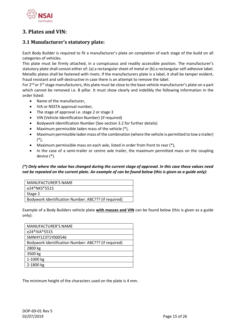

## <span id="page-14-0"></span>**3. Plates and VIN:**

## <span id="page-14-1"></span>**3.1 Manufacturer's statutory plate:**

Each Body Builder is required to fit a manufacturer's plate on completion of each stage of the build on all categories of vehicles.

This plate must be firmly attached, in a conspicuous and readily accessible position. The manufacturer's statutory plate shall consist either of: (a) a rectangular sheet of metal or (b) a rectangular self-adhesive label. Metallic plates shall be fastened with rivets. If the manufacturers plate is a label, it shall be tamper evident, fraud resistant and self-destructive in case there is an attempt to remove the label.

For  $2^{nd}$  or  $3^{rd}$  stage manufacturers, this plate must be close to the base vehicle manufacturer's plate on a part which cannot be removed i.e. B pillar. It must show clearly and indelibly the following information in the order listed:

- Name of the manufacturer,
- IVA or NSSTA approval number,
- The stage of approval i.e. stage 2 or stage 3
- VIN (Vehicle Identification Number) (if required)
- Bodywork Identification Number (See section 3.2 for further details)
- Maximum permissible laden mass of the vehicle (\*),
- Maximum permissible laden mass of the combination (where the vehicle is permitted to tow a trailer) (\*),
- Maximum permissible mass on each axle, listed in order from front to rear (\*),
- In the case of a semi-trailer or centre axle trailer, the maximum permitted mass on the coupling device (\*).

## *(\*) Only where the value has changed during the current stage of approval. In this case these values need not be repeated on the current plate. An example of can be found below (this is given as a guide only):*

| MANUFACTURER'S NAME                                  |
|------------------------------------------------------|
| e24*NKS*5515                                         |
| Stage 2                                              |
| Bodywork Identification Number: ABC??? (if required) |

Example of a Body Builders vehicle plate **with masses and VIN** can be found below (this is given as a guide only):

| <b>MANUFACTURER'S NAME</b>                           |
|------------------------------------------------------|
| e24*IVA*5515                                         |
| SMNHY123T1Y000546                                    |
| Bodywork Identification Number: ABC??? (if required) |
| 2800 kg                                              |
| 3500 kg                                              |
| 1-1000 kg                                            |
| 2-1800 kg                                            |

The minimum height of the characters used on the plate is 4 mm.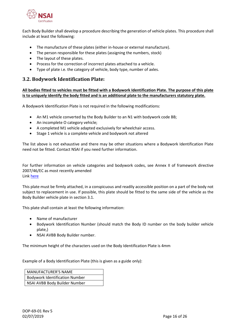

Each Body Builder shall develop a procedure describing the generation of vehicle plates. This procedure shall include at least the following:

- The manufacture of these plates (either in-house or external manufacture).
- The person responsible for these plates (assigning the numbers, stock)
- The layout of these plates.
- Process for the correction of incorrect plates attached to a vehicle.
- Type of plate i.e. the category of vehicle, body type, number of axles.

## <span id="page-15-0"></span>**3.2. Bodywork Identification Plate:**

**All bodies fitted to vehicles must be fitted with a Bodywork Identification Plate. The purpose of this plate is to uniquely identify the body fitted and is an additional plate to the manufacturers statutory plate.**

A Bodywork Identification Plate is not required in the following modifications:

- An M1 vehicle converted by the Body Builder to an N1 with bodywork code BB;
- An incomplete O category vehicle;
- A completed M1 vehicle adapted exclusively for wheelchair access.
- Stage 1 vehicle is a complete vehicle and bodywork not altered

The list above is not exhaustive and there may be other situations where a Bodywork Identification Plate need not be fitted. Contact NSAI if you need further information.

For further information on vehicle categories and bodywork codes, see Annex II of framework directive 2007/46/EC as most recently amended Link [here](https://eur-lex.europa.eu/legal-content/EN/TXT/PDF/?uri=CELEX:02007L0046-20190101&from=EN)

This plate must be firmly attached, in a conspicuous and readily accessible position on a part of the body not subject to replacement in use. If possible, this plate should be fitted to the same side of the vehicle as the Body Builder vehicle plate in section 3.1.

This plate shall contain at least the following information:

- Name of manufacturer
- Bodywork Identification Number (should match the Body ID number on the body builder vehicle plate,)
- NSAI AVBB Body Builder number.

The minimum height of the characters used on the Body Identification Plate is 4mm

Example of a Body Identification Plate (this is given as a guide only):

MANUFACTURER'S NAME Bodywork Identification Number NSAI AVBB Body Builder Number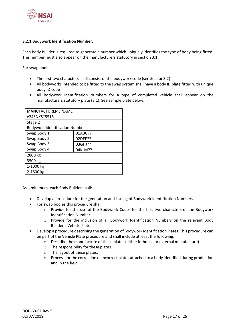

#### **3.2.1 Bodywork Identification Number:**

Each Body Builder is required to generate a number which uniquely identifies the type of body being fitted. This number must also appear on the manufacturers statutory in section 3.1.

For swap bodies:

- The first two characters shall consist of the bodywork code (see Section3.2)
- All bodyworks intended to be fitted to the swap system shall have a body ID plate fitted with unique body ID code
- All Bodywork Identification Numbers for a type of completed vehicle shall appear on the manufacturers statutory plate (3.1). See sample plate below:

| <b>MANUFACTURER'S NAME</b>            |         |  |  |  |  |  |  |  |
|---------------------------------------|---------|--|--|--|--|--|--|--|
| e24*NKS*5515                          |         |  |  |  |  |  |  |  |
| Stage 2                               |         |  |  |  |  |  |  |  |
| <b>Bodywork Identification Number</b> |         |  |  |  |  |  |  |  |
| Swap Body 1:<br>01ABC??               |         |  |  |  |  |  |  |  |
| Swap Body 2:                          | 02DEF?? |  |  |  |  |  |  |  |
| Swap Body 3:                          | 03GHJ?? |  |  |  |  |  |  |  |
| Swap Body 4:                          | 04KLM?? |  |  |  |  |  |  |  |
| 2800 kg                               |         |  |  |  |  |  |  |  |
| 3500 kg                               |         |  |  |  |  |  |  |  |
| 1-1000 kg                             |         |  |  |  |  |  |  |  |
| 2-1800 kg                             |         |  |  |  |  |  |  |  |

As a minimum, each Body Builder shall:

- Develop a procedure for the generation and issuing of Bodywork Identification Numbers.
- For swap bodies this procedure shall:
	- o Provide for the use of the Bodywork Codes for the first two characters of the Bodywork Identification Number.
	- o Provide for the inclusion of all Bodywork Identification Numbers on the relevant Body Builder's Vehicle Plate.
- Develop a procedure describing the generation of Bodywork Identification Plates. This procedure can be part of the Vehicle Plate procedure and shall include at least the following:
	- o Describe the manufacture of these plates (either in-house or external manufacture).
	- o The responsibility for these plates.
	- o The layout of these plates.
	- $\circ$  Process for the correction of incorrect plates attached to a body identified during production and in the field.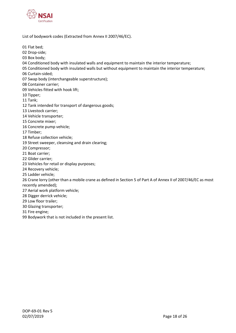

List of bodywork codes (Extracted from Annex II 2007/46/EC).

01 Flat bed;

02 Drop-side;

03 Box body;

- 04 Conditioned body with insulated walls and equipment to maintain the interior temperature;
- 05 Conditioned body with insulated walls but without equipment to maintain the interior temperature;

06 Curtain-sided;

07 Swap body (interchangeable superstructure);

08 Container carrier;

09 Vehicles fitted with hook lift;

10 Tipper;

11 Tank;

12 Tank intended for transport of dangerous goods;

13 Livestock carrier;

14 Vehicle transporter;

15 Concrete mixer;

16 Concrete pump vehicle;

17 Timber;

- 18 Refuse collection vehicle;
- 19 Street sweeper, cleansing and drain clearing;

20 Compressor;

- 21 Boat carrier;
- 22 Glider carrier;
- 23 Vehicles for retail or display purposes;

24 Recovery vehicle;

25 Ladder vehicle;

26 Crane lorry (other than a mobile crane as defined in Section 5 of Part A of Annex II of 2007/46/EC as most recently amended);

- 27 Aerial work platform vehicle;
- 28 Digger derrick vehicle;
- 29 Low floor trailer;
- 30 Glazing transporter;

31 Fire engine;

99 Bodywork that is not included in the present list.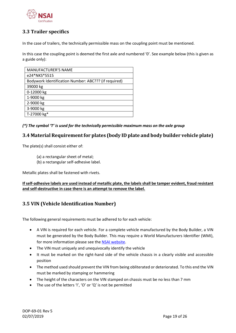

## <span id="page-18-0"></span>**3.3 Trailer specifics**

In the case of trailers, the technically permissible mass on the coupling point must be mentioned.

In this case the coupling point is deemed the first axle and numbered '0'. See example below (this is given as a guide only):

| <b>MANUFACTURER'S NAME</b>                           |
|------------------------------------------------------|
| e24*NKS*5515                                         |
| Bodywork Identification Number: ABC??? (if required) |
| 39000 kg                                             |
| 0-12000 kg                                           |
| 1-9000 kg                                            |
| 2-9000 kg                                            |
| 3-9000 kg                                            |
| T-27000 kg*                                          |

*(\*) The symbol 'T' is used for the technically permissible maximum mass on the axle group*

## <span id="page-18-1"></span>**3.4 Material Requirement for plates (body ID plate and body builder vehicle plate)**

The plate(s) shall consist either of:

- (a) a rectangular sheet of metal;
- (b) a rectangular self-adhesive label.

Metallic plates shall be fastened with rivets.

**If self-adhesive labels are used instead of metallic plate, the labels shall be tamper evident, fraud resistant and self-destructive in case there is an attempt to remove the label.**

## <span id="page-18-2"></span>**3.5 VIN (Vehicle Identification Number)**

The following general requirements must be adhered to for each vehicle:

- A VIN is required for each vehicle. For a complete vehicle manufactured by the Body Builder, a VIN must be generated by the Body Builder. This may require a World Manufacturers Identifier (WMI), for more information please see th[e NSAI website.](https://www.nsai.ie/certification/automotive/transport-schemes/world-manufacturer-identifier/)
- The VIN must uniquely and unequivocally identify the vehicle
- It must be marked on the right-hand side of the vehicle chassis in a clearly visible and accessible position
- The method used should prevent the VIN from being obliterated or deteriorated. To this end the VIN must be marked by stamping or hammering
- The height of the characters on the VIN stamped on chassis must be no less than 7 mm
- The use of the letters 'I', 'O' or 'Q' is not be permitted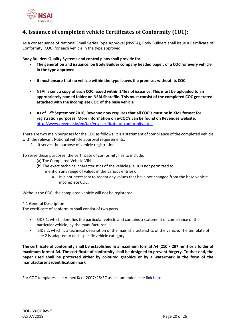

## <span id="page-19-0"></span>**4. Issuance of completed vehicle Certificates of Conformity (COC):**

As a consequence of National Small Series Type Approval (NSSTA), Body Builders shall issue a Certificate of Conformity (COC) for each vehicle in the type approved.

**Body Builders Quality Systems and control plans shall provide for:**

- **The generation and issuance, on Body Builder company headed paper, of a COC for every vehicle in the type approved.**
- **It must ensure that no vehicle within the type leaves the premises without its COC.**
- **NSAI is sent a copy of each COC issued within 24hrs of issuance. This must be uploaded to an appropriately named folder on NSAI Sharefile. This must consist of the completed COC generated attached with the incomplete COC of the base vehicle**
- **As of 12th September 2016, Revenue now requires that all COC's must be in XML format for registration purposes. More information on e-COC's can be found on Revenues website:** <http://www.revenue.ie/en/tax/vrt/certificate-of-conformity.html>

There are two main purposes for the COC as follows: It is a statement of compliance of the completed vehicle with the relevant National vehicle approval requirements.

1. It serves the purpose of vehicle registration.

To serve these purposes, the certificate of conformity has to include:

- (a) The Completed Vehicle VIN.
- (b) The exact technical characteristics of the vehicle (i.e. it is not permitted to mention any range of values in the various entries).
	- It is not necessary to repeat any values that have not changed from the base vehicle incomplete COC.

Without the COC, the completed vehicle will not be registered.

#### 4.1 General Description

The certificate of conformity shall consist of two parts.

- SIDE 1, which identifies the particular vehicle and contains a statement of compliance of the particular vehicle, by the manufacturer.
- SIDE 2, which is a technical description of the main characteristics of the vehicle. The template of side 2 is adapted to each specific vehicle category.

**The certificate of conformity shall be established in a maximum format A4 (210 × 297 mm) or a folder of maximum format A4. The certificate of conformity shall be designed to prevent forgery. To that end, the paper used shall be protected either by coloured graphics or by a watermark in the form of the manufacturer's identification mark**

For COC templates, see Annex IX of 2007/46/EC as last amended. see link [here](https://eur-lex.europa.eu/legal-content/EN/TXT/PDF/?uri=CELEX:02007L0046-20190101&from=EN)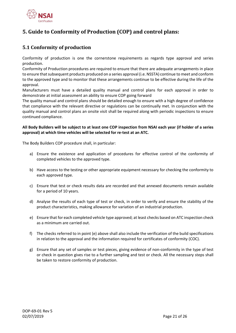

# <span id="page-20-0"></span>**5. Guide to Conformity of Production (COP) and control plans:**

## <span id="page-20-1"></span>**5.1 Conformity of production**

Conformity of production is one the cornerstone requirements as regards type approval and series production.

Conformity of Production procedures are required to ensure that there are adequate arrangements in place to ensure that subsequent products produced on a series approval (i.e. NSSTA) continue to meet and conform to the approved type and to monitor that these arrangements continue to be effective during the life of the approval.

Manufacturers must have a detailed quality manual and control plans for each approval in order to demonstrate at initial assessment an ability to ensure COP going forward

The quality manual and control plans should be detailed enough to ensure with a high degree of confidence that compliance with the relevant directive or regulations can be continually met. In conjunction with the quality manual and control plans an onsite visit shall be required along with periodic inspections to ensure continued compliance.

### **All Body Builders will be subject to at least one COP inspection from NSAI each year (if holder of a series approval) at which time vehicles will be selected for re-test at an ATC.**

The Body Builders COP procedure shall, in particular:

- a) Ensure the existence and application of procedures for effective control of the conformity of completed vehicles to the approved type.
- b) Have access to the testing or other appropriate equipment necessary for checking the conformity to each approved type.
- c) Ensure that test or check results data are recorded and that annexed documents remain available for a period of 10 years.
- d) Analyse the results of each type of test or check, in order to verify and ensure the stability of the product characteristics, making allowance for variation of an industrial production.
- e) Ensure that for each completed vehicle type approved; at least checks based on ATC inspection check as a minimum are carried out.
- f) The checks referred to in point (e) above shall also include the verification of the build specifications in relation to the approval and the information required for certificates of conformity (COC).
- g) Ensure that any set of samples or test pieces, giving evidence of non-conformity in the type of test or check in question gives rise to a further sampling and test or check. All the necessary steps shall be taken to restore conformity of production.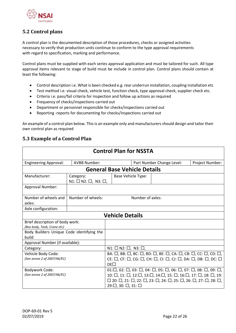

## <span id="page-21-0"></span>**5.2 Control plans**

A control plan is the documented description of those procedures, checks or assigned activities necessary to verify that production units continue to conform to the type approval requirements with regard to specification, marking and performance.

Control plans must be supplied with each series approval application and must be tailored for such. All type approval items relevant to stage of build must be include in control plan. Control plans should contain at least the following:

- Control description i.e. What is been checked e.g. rear underrun installation, coupling installation etc
- Test method i.e. visual check, vehicle test, function check, type approval check, supplier check etc.
- Criteria i.e. pass/fail criteria for inspection and follow up actions as required
- Frequency of checks/inspections carried out
- Department or personnel responsible for checks/inspections carried out
- Reporting -reports for documenting for checks/inspections carried out

An example of a control plan below. This is an example only and manufacturers should design and tailor their own control plan as required

## <span id="page-21-1"></span>**5.3 Example of a Control Plan**

| <b>Control Plan for NSSTA</b>                                  |                                                      |                                                                                                                                                                                                                                                               |                                                                                                                                                                                                                                                                                                                                                                                                                                 |                           |                 |  |  |  |  |
|----------------------------------------------------------------|------------------------------------------------------|---------------------------------------------------------------------------------------------------------------------------------------------------------------------------------------------------------------------------------------------------------------|---------------------------------------------------------------------------------------------------------------------------------------------------------------------------------------------------------------------------------------------------------------------------------------------------------------------------------------------------------------------------------------------------------------------------------|---------------------------|-----------------|--|--|--|--|
| <b>Engineering Approval:</b>                                   | <b>AVBB Number:</b>                                  |                                                                                                                                                                                                                                                               |                                                                                                                                                                                                                                                                                                                                                                                                                                 | Part Number Change Level: | Project Number: |  |  |  |  |
|                                                                |                                                      |                                                                                                                                                                                                                                                               |                                                                                                                                                                                                                                                                                                                                                                                                                                 |                           |                 |  |  |  |  |
| Manufacturer:                                                  | Category:<br>$N1: \square N2: \square, N3: \square,$ |                                                                                                                                                                                                                                                               | <b>Base Vehicle Type:</b>                                                                                                                                                                                                                                                                                                                                                                                                       |                           |                 |  |  |  |  |
| Approval Number:                                               |                                                      |                                                                                                                                                                                                                                                               |                                                                                                                                                                                                                                                                                                                                                                                                                                 |                           |                 |  |  |  |  |
| Number of wheels and<br>axles:                                 | Number of wheels:                                    |                                                                                                                                                                                                                                                               | Number of axles:                                                                                                                                                                                                                                                                                                                                                                                                                |                           |                 |  |  |  |  |
| Axle configuration:                                            |                                                      |                                                                                                                                                                                                                                                               |                                                                                                                                                                                                                                                                                                                                                                                                                                 |                           |                 |  |  |  |  |
|                                                                |                                                      | <b>Vehicle Details</b>                                                                                                                                                                                                                                        |                                                                                                                                                                                                                                                                                                                                                                                                                                 |                           |                 |  |  |  |  |
| Brief description of body work:<br>(Box body, Tank, Crane etc) |                                                      |                                                                                                                                                                                                                                                               |                                                                                                                                                                                                                                                                                                                                                                                                                                 |                           |                 |  |  |  |  |
| Body Builders Unique Code identifying the<br>build             |                                                      |                                                                                                                                                                                                                                                               |                                                                                                                                                                                                                                                                                                                                                                                                                                 |                           |                 |  |  |  |  |
| Approval Number (if available):                                |                                                      |                                                                                                                                                                                                                                                               |                                                                                                                                                                                                                                                                                                                                                                                                                                 |                           |                 |  |  |  |  |
| Category:                                                      |                                                      | $N1: \Box N2: \Box$ , $N3: \Box$ ,                                                                                                                                                                                                                            |                                                                                                                                                                                                                                                                                                                                                                                                                                 |                           |                 |  |  |  |  |
| Vehicle Body Code:<br>(See annex 2 of 2007/46/EC)              |                                                      | BA: $\Box$ , BB: $\Box$ , BC: $\Box$ , BD: $\Box$ , BE: $\Box$ , CA: $\Box$ , CB: $\Box$ , CC: $\Box$ , CD: $\Box$ ,<br>CE: $\Box$ , CF: $\Box$ , CG: $\Box$ , CH: $\Box$ , CI: $\Box$ , CJ: $\Box$ , DA: $\Box$ , DB: $\Box$ , DC: $\Box$<br>DF <sub>1</sub> |                                                                                                                                                                                                                                                                                                                                                                                                                                 |                           |                 |  |  |  |  |
| Bodywork Code:<br>(See annex 2 of 2007/46/EC)                  | $29: \square$ , 30: $\square$ , 31: $\square$        |                                                                                                                                                                                                                                                               | $01:\square$ , $02:\square$ , $03:\square$ , $04:\square$ , $05:\square$ , $06:\square$ , $07:\square$ , $08:\square$ , $09:\square$ ,<br>10: $\Box$ , 11: $\Box$ , 12: $\Box$ , 13: $\Box$ , 14: $\Box$ , 15: $\Box$ , 16: $\Box$ , 17: $\Box$ , 18: $\Box$ , 19:<br>$\square$ 20: $\square$ , 21: $\square$ , 22: $\square$ , 23: $\square$ , 24: $\square$ , 25: $\square$ , 26: $\square$ , 27: $\square$ , 28: $\square$ , |                           |                 |  |  |  |  |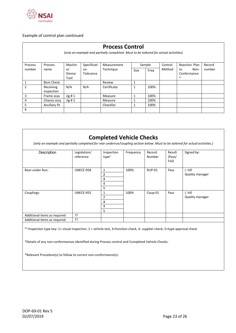

## Example of control plan continued

| <b>Process Control</b><br>(only an example and partially completed. Must to be tailored for actual activities) |                         |                            |                  |             |             |      |        |                                     |        |  |
|----------------------------------------------------------------------------------------------------------------|-------------------------|----------------------------|------------------|-------------|-------------|------|--------|-------------------------------------|--------|--|
| Specificati<br>Machin<br>Control<br>Reaction Plan<br>Sample<br>Record<br>Process<br>Process<br>Measurement     |                         |                            |                  |             |             |      |        |                                     |        |  |
| number                                                                                                         | name                    | e/<br>on<br>Device<br>Tool | <b>Tolerance</b> | Technique   | <b>Size</b> | Freg | Method | Non-<br>to<br>Conformance<br>$\ast$ | number |  |
| 1                                                                                                              | <b>Bom Check</b>        |                            |                  | Review      | 1           |      |        |                                     |        |  |
| 2                                                                                                              | Receiving<br>inspection | N/A                        | N/A              | Certificate | 1           | 100% |        |                                     |        |  |
| 3                                                                                                              | Frame assy              | Jig#1                      |                  | Measure     | 1           | 100% |        |                                     |        |  |
| 4                                                                                                              | Chassis assy            | Jig#2                      |                  | Measure     |             | 100% |        |                                     |        |  |
| 5                                                                                                              | Ancillary fit           |                            |                  | Checklist   | 1           | 100% |        |                                     |        |  |
| 6                                                                                                              |                         |                            |                  |             |             |      |        |                                     |        |  |

| (only an example and partially completed for rear underrun/coupling section below. Must to be tailored for actual activities.) |                           | <b>Completed Vehicle Checks</b> |           |                  |                           |                 |  |
|--------------------------------------------------------------------------------------------------------------------------------|---------------------------|---------------------------------|-----------|------------------|---------------------------|-----------------|--|
| Description                                                                                                                    | Legislation/<br>reference | Inspection<br>type <sup>1</sup> | Frequency | Record<br>Number | Result<br>(Pass/<br>Fail) | Signed by:      |  |
| Rear-under Run:                                                                                                                | UNECE-R58                 | 1                               | 100%      | <b>RUP-01</b>    | Pass                      | J. hill         |  |
|                                                                                                                                |                           | 2                               |           |                  |                           | Quality manager |  |
|                                                                                                                                |                           | 3                               |           |                  |                           |                 |  |
|                                                                                                                                |                           | 4                               |           |                  |                           |                 |  |
|                                                                                                                                |                           | 5                               |           |                  |                           |                 |  |
| Couplings:                                                                                                                     | UNECE-R55                 | 1                               | 100%      | Coup-01          | Pass                      | J. hill         |  |
|                                                                                                                                |                           | 2                               |           |                  |                           | Quality manager |  |
|                                                                                                                                |                           | з                               |           |                  |                           |                 |  |
|                                                                                                                                |                           | 4                               |           |                  |                           |                 |  |
|                                                                                                                                |                           | 5                               |           |                  |                           |                 |  |
| Additional items as required                                                                                                   | ??                        |                                 |           |                  |                           |                 |  |
| Additional items as required                                                                                                   | ??                        |                                 |           |                  |                           |                 |  |

\* <sup>1</sup>Inspection type key: 1= visual inspection, 2 = vehicle test, 3=function check, 4- supplier check, 5=type approval check

\*Details of any non-conformances identified during Process control and Completed Vehicle Checks:

\*Relevant Procedure(s) to follow to correct non-conformance(s):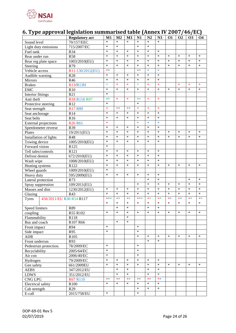

# <span id="page-23-0"></span>**6. Type approval legislation summarised table (Annex IV 2007/46/EC)**

|                                          | <b>Regulatory act</b> | M1     | M <sub>2</sub> | M <sub>3</sub> | N1     | N2     | N3     | <b>O1</b> | O <sub>2</sub> | <b>O3</b> | <b>O4</b> |
|------------------------------------------|-----------------------|--------|----------------|----------------|--------|--------|--------|-----------|----------------|-----------|-----------|
| Sound level                              | 70/157/EEC            | $\ast$ | $\ast$         | $\ast$         | $\ast$ | $\ast$ | $\ast$ |           |                |           |           |
| Light duty emissions                     | 715/2007/EC           | $\ast$ | $\ast$         |                | $\ast$ | $\ast$ |        |           |                |           |           |
| Fuel tank                                | R34                   | $\ast$ | $\ast$         | $\ast$         | $\ast$ | $\ast$ | $\ast$ |           |                |           |           |
| Rear under run                           | <b>R58</b>            | $\ast$ | $\ast$         | $\ast$         | $\ast$ | $\ast$ | $\ast$ | $\ast$    | $\ast$         | $\ast$    | $\ast$    |
| Rear reg plate space                     | 1003/2010(EU)         | $\ast$ | $\ast$         | $\ast$         | $\ast$ | $\ast$ | $\ast$ | $\ast$    | $\ast$         | $\ast$    | $\ast$    |
| Steering                                 | R79                   | $\ast$ | $\ast$         | $\ast$         | $\ast$ | $\ast$ | $\ast$ | $\ast$    | $\ast$         | $\ast$    | $\ast$    |
| Vehicle access                           | R11-130/2012(EU)      | $**$   |                |                | **     | $\ast$ | $\ast$ |           |                |           |           |
| Audible warning                          | <b>R28</b>            | $\ast$ | $\ast$         | $\ast$         | $\ast$ | $\ast$ | $\ast$ |           |                |           |           |
| Mirrors                                  | R46                   | $\ast$ | $\ast$         | $\ast$         | $\ast$ | $\ast$ | $\ast$ |           |                |           |           |
| <b>Brakes</b>                            | R13/R13H              | $\ast$ | $\ast$         | $\ast$         | $\ast$ | $\ast$ | $\ast$ |           | $\ast$         | $\ast$    | $\ast$    |
| <b>EMC</b>                               | R10                   | $\ast$ | $\ast$         | $\ast$         | $\ast$ | $\ast$ | $\ast$ | $\ast$    | $\ast$         | $\ast$    | $\ast$    |
| Interior fittings                        | R21                   | $\ast$ |                |                |        |        |        |           |                |           |           |
| Anti theft                               | R18 R116 R97          | $***$  | $\ast$         | $\ast$         | **     | $\ast$ | $\ast$ |           |                |           |           |
| Protective steering                      | R12                   | $\ast$ |                |                | $\ast$ |        |        |           |                |           |           |
| Seat strength                            | <b>R17 R80</b>        | $\ast$ | $**$           | $**$           | $\ast$ | $\ast$ | $\ast$ |           |                |           |           |
| Seat anchorage                           | R14                   | $\ast$ | $\ast$         | $\ast$         | $\ast$ | $\ast$ | $\ast$ |           |                |           |           |
| Seat belts                               | R <sub>16</sub>       | $\ast$ | $\ast$         | $\ast$         | $\ast$ | $\ast$ | $\ast$ |           |                |           |           |
| <b>External projections</b>              | <b>R26 R61</b>        | $\ast$ |                |                | $\ast$ | $\ast$ | $\ast$ |           |                |           |           |
|                                          | R39                   | $\ast$ | $\ast$         | $\ast$         | $\ast$ | $\ast$ | $\ast$ |           |                |           |           |
| Speedometer reverse<br>Plates            |                       | $\ast$ | $\ast$         | $\ast$         | *      | $\ast$ | $\ast$ | $\ast$    | $\ast$         | $\ast$    | $\ast$    |
|                                          | 19/2011(EU)           | $\ast$ | $\ast$         | $\ast$         | *      | $\ast$ | $\ast$ | $\ast$    | $\ast$         | $\ast$    | $\ast$    |
| Installation of lights                   | <b>R48</b>            | $\ast$ | $\ast$         | $\ast$         | $\ast$ | $\ast$ | $\ast$ |           |                |           |           |
| Towing device                            | 1005/2010(EU)         | $\ast$ |                |                |        |        |        |           |                |           |           |
| Forward vision                           | R125                  |        |                |                |        |        |        |           |                |           |           |
| Tell tales/controls                      | R121                  | $\ast$ | $\ast$         | $\ast$         | $\ast$ | $\ast$ | $\ast$ |           |                |           |           |
| Defrost demist                           | 672/2010(EU)          | $\ast$ | $\ast$         | $\ast$         | $\ast$ | $\ast$ | $\ast$ |           |                |           |           |
| Wash wipe                                | 1008/2010(EU)         | $\ast$ | $\ast$         | $\ast$         | $\ast$ | $\ast$ | $\ast$ |           |                |           |           |
| Heating systems                          | R122                  | $\ast$ | $\ast$         | $\ast$         | $\ast$ | $\ast$ | $\ast$ | $\ast$    | $\ast$         | $\ast$    | $\ast$    |
| Wheel guards                             | 1009/2010(EU)         | $\ast$ |                |                |        |        |        |           |                |           |           |
| Heavy duty                               | 595/2009(EU)          | $\ast$ | $\ast$         | $\ast$         | $\ast$ | $\ast$ | $\ast$ |           |                |           |           |
| Lateral protection                       | R73                   |        |                |                |        | $\ast$ | ∗      |           |                | $\ast$    | $\ast$    |
| Spray suppression                        | 109/2011(EU)          |        |                |                | $\ast$ | $\ast$ | $\ast$ | $\ast$    | $\ast$         | $\ast$    | $\ast$    |
| Masses and dim                           | 1230/2012(EU)         | $\ast$ | $\ast$         | $\ast$         | $\ast$ | $\ast$ | $\ast$ | $\ast$    | $\ast$         | $\ast$    | $\ast$    |
| Glazing                                  | R43                   | $\ast$ | $\ast$         | $\ast$         | $\ast$ | $\ast$ | $\ast$ | $\ast$    | $\ast$         | $\ast$    | $\ast$    |
| 458/2011/EU R30 R54 R117<br><b>Tyres</b> |                       | ***    | **             | **             | ***    | $**$   | $**$   | $**$      | $**$           | **        | $**$      |
|                                          |                       | $\ast$ | $\ast$         | *              | *      | $\ast$ | $\ast$ | $\ast$    | $\ast$         | $\ast$    | $\ast$    |
| Speed limiters                           | <b>R89</b>            |        | $\ast$         | *              |        | $\ast$ | $\ast$ |           |                |           |           |
| coupling                                 | R55 R102              | $\ast$ |                | *              |        |        |        |           | $\ast$         |           |           |
| Flammability                             | R118                  |        |                | $\ast$         |        |        |        |           |                |           |           |
| Bus and coach                            | R107 R66              |        | $\ast$         | $\ast$         |        |        |        |           |                |           |           |
| Front impact                             | R94                   | $\ast$ |                |                | *      |        |        |           |                |           |           |
| Side impact                              | R95                   | $\ast$ |                |                | *      |        |        |           |                |           |           |
| <b>ADR</b>                               | R <sub>105</sub>      |        |                |                | ∗      | $\ast$ | *      | *         | *              | *         | $\ast$    |
| Front underrun                           | R93                   |        |                |                |        | $\ast$ | $\ast$ |           |                |           |           |
| Pedestrian protection.                   | 78/2009/EC            | $\ast$ |                |                | *      |        |        |           |                |           |           |
| Recyclability                            | 2005/64/EC            | $\ast$ |                |                | ∗      |        |        |           |                |           |           |
| Air con                                  | 2006/40/EC            | $\ast$ |                |                | ∗      |        |        |           |                |           |           |
| Hydrogen                                 | 79/2009/EC            | $\ast$ | $\ast$         | *              | *      | $\ast$ | $\ast$ |           |                |           |           |
| Gen safety                               | 661/2009EU            | $\ast$ | $\ast$         | *              | *      | $\ast$ | $\ast$ | *         | $\ast$         | $\ast$    | $\ast$    |
| <b>AEBS</b>                              | 347/2012/EU           |        | $\ast$         | ∗              |        | $\ast$ | $\ast$ |           |                |           |           |
| <b>LDWS</b>                              | 351/2012/EU           |        | $\ast$         | $\ast$         |        | $\ast$ | *      |           |                |           |           |
| <b>CNG LPG</b>                           | <b>R67 R110</b>       | **     | **             | **             | **     | $**$   | **     |           |                |           |           |
| Electrical safety                        | R <sub>100</sub>      | $\ast$ | $\ast$         | ∗              | ∗      | $\ast$ | $\ast$ |           |                |           |           |
| Cab strength                             | R <sub>29</sub>       |        |                |                | ∗      | $\ast$ | $\ast$ |           |                |           |           |
| E-call                                   | 2015/758/EU           | $\ast$ |                |                | *      |        |        |           |                |           |           |
|                                          |                       |        |                |                |        |        |        |           |                |           |           |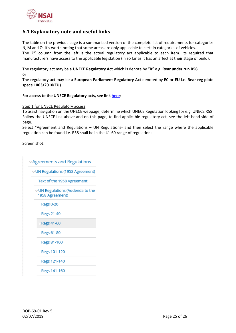

## <span id="page-24-0"></span>**6.1 Explanatory note and useful links**

The table on the previous page is a summarised version of the complete list of requirements for categories N, M and O. It's worth noting that some areas are only applicable to certain categories of vehicles. The  $2<sup>nd</sup>$  column from the left is the actual regulatory act applicable to each item. Its required that manufacturers have access to the applicable legislation (in so far as it has an affect at their stage of build).

The regulatory act may be a **UNECE Regulatory Act** which is denote by "**R**" e.g. **Rear under run R58** or

The regulatory act may be a **European Parliament Regulatory Act** denoted by **EC** or **EU** i.e. **Rear reg plate space 1003/2010(EU)**

#### **For access to the UNECE Regulatory acts, see link** [here:](https://www.unece.org/?id=39139)

#### Step 1 for UNECE Regulatory access

To assist navigation on the UNECE webpage, determine which UNECE Regulation looking for e.g. UNECE R58. Follow the UNECE link above and on this page, to find applicable regulatory act, see the left-hand side of page.

Select "Agreement and Regulations – UN Regulations- and then select the range where the applicable regulation can be found i.e. R58 shall be in the 41-60 range of regulations.

Screen shot:

**Agreements and Regulations** UN Regulations (1958 Agreement) Text of the 1958 Agreement UN Regulations (Addenda to the 1958 Agreement) **Regs 0-20** Regs 21-40 Regs 41-60 **Regs 61-80** Regs 81-100 Regs 101-120 Regs 121-140 Regs 141-160